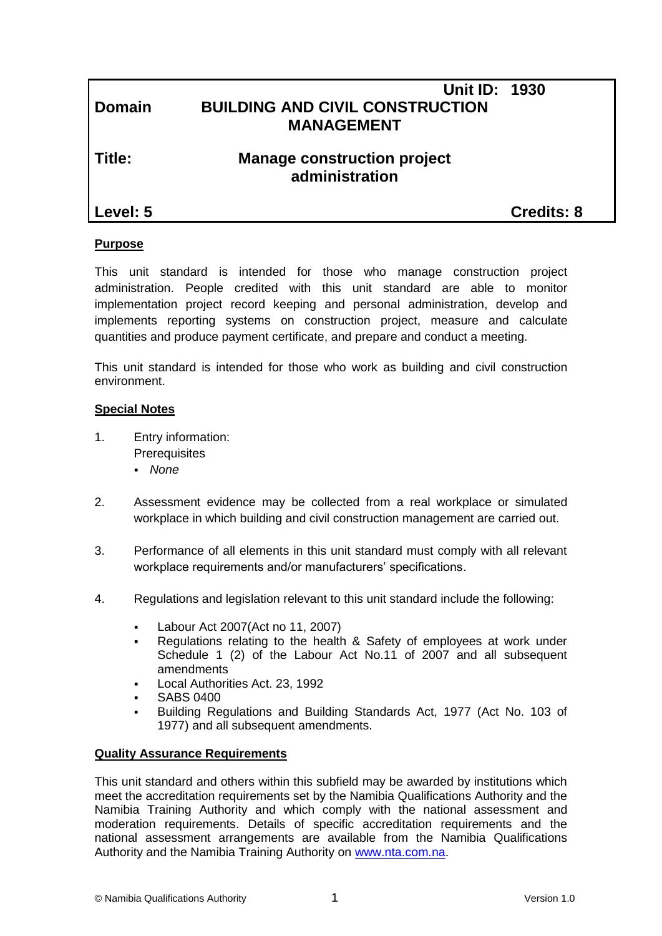## **Unit ID: 1930 Domain BUILDING AND CIVIL CONSTRUCTION MANAGEMENT**

## **Title: Manage construction project administration**

**Level: 5 Credits: 8**

#### **Purpose**

This unit standard is intended for those who manage construction project administration. People credited with this unit standard are able to monitor implementation project record keeping and personal administration, develop and implements reporting systems on construction project, measure and calculate quantities and produce payment certificate, and prepare and conduct a meeting.

This unit standard is intended for those who work as building and civil construction environment.

#### **Special Notes**

- 1. Entry information: **Prerequisites** 
	- *None*
- 2. Assessment evidence may be collected from a real workplace or simulated workplace in which building and civil construction management are carried out.
- 3. Performance of all elements in this unit standard must comply with all relevant workplace requirements and/or manufacturers' specifications.
- 4. Regulations and legislation relevant to this unit standard include the following:
	- Labour Act 2007(Act no 11, 2007)
	- Regulations relating to the health & Safety of employees at work under Schedule 1 (2) of the Labour Act No.11 of 2007 and all subsequent amendments
	- Local Authorities Act. 23, 1992
	- SABS 0400
	- Building Regulations and Building Standards Act, 1977 (Act No. 103 of 1977) and all subsequent amendments.

#### **Quality Assurance Requirements**

This unit standard and others within this subfield may be awarded by institutions which meet the accreditation requirements set by the Namibia Qualifications Authority and the Namibia Training Authority and which comply with the national assessment and moderation requirements. Details of specific accreditation requirements and the national assessment arrangements are available from the Namibia Qualifications Authority and the Namibia Training Authority on [www.nta.com.na.](http://www.nta.com.na/)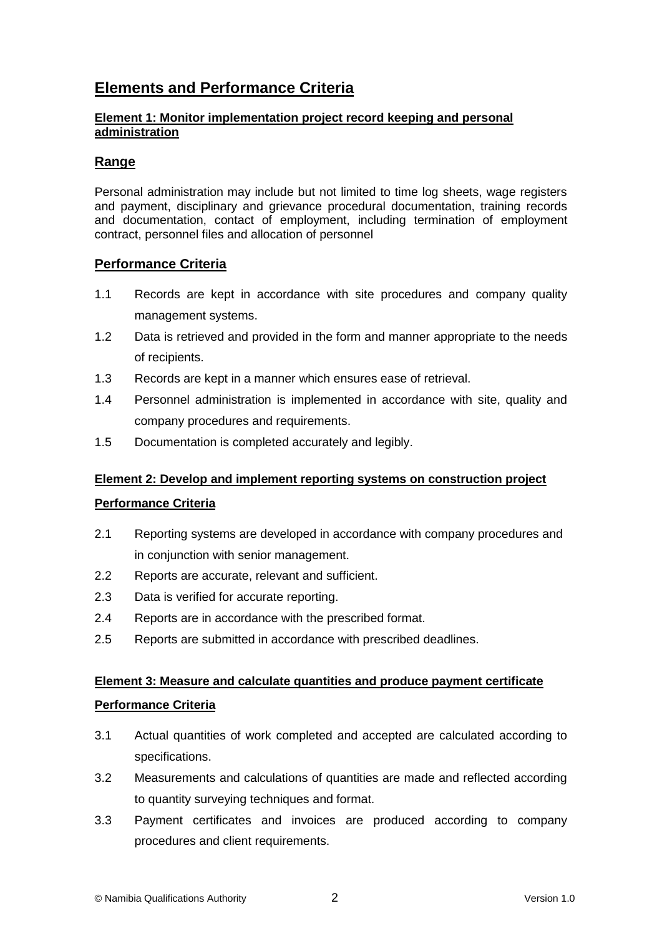# **Elements and Performance Criteria**

#### **Element 1: Monitor implementation project record keeping and personal administration**

### **Range**

Personal administration may include but not limited to time log sheets, wage registers and payment, disciplinary and grievance procedural documentation, training records and documentation, contact of employment, including termination of employment contract, personnel files and allocation of personnel

#### **Performance Criteria**

- 1.1 Records are kept in accordance with site procedures and company quality management systems.
- 1.2 Data is retrieved and provided in the form and manner appropriate to the needs of recipients.
- 1.3 Records are kept in a manner which ensures ease of retrieval.
- 1.4 Personnel administration is implemented in accordance with site, quality and company procedures and requirements.
- 1.5 Documentation is completed accurately and legibly.

#### **Element 2: Develop and implement reporting systems on construction project**

#### **Performance Criteria**

- 2.1 Reporting systems are developed in accordance with company procedures and in conjunction with senior management.
- 2.2 Reports are accurate, relevant and sufficient.
- 2.3 Data is verified for accurate reporting.
- 2.4 Reports are in accordance with the prescribed format.
- 2.5 Reports are submitted in accordance with prescribed deadlines.

# **Element 3: Measure and calculate quantities and produce payment certificate**

#### **Performance Criteria**

- 3.1 Actual quantities of work completed and accepted are calculated according to specifications.
- 3.2 Measurements and calculations of quantities are made and reflected according to quantity surveying techniques and format.
- 3.3 Payment certificates and invoices are produced according to company procedures and client requirements.